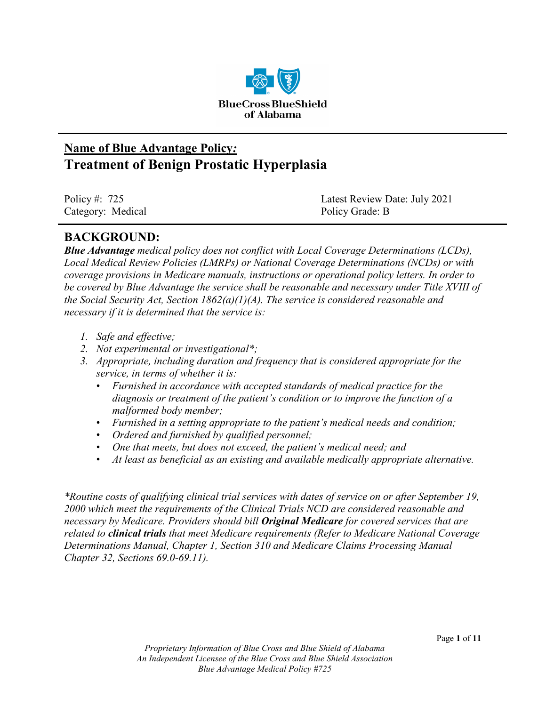

# **Name of Blue Advantage Policy***:* **Treatment of Benign Prostatic Hyperplasia**

| Policy #: $725$   | Latest Review Date: July 2021 |
|-------------------|-------------------------------|
| Category: Medical | Policy Grade: B               |

## **BACKGROUND:**

*Blue Advantage medical policy does not conflict with Local Coverage Determinations (LCDs), Local Medical Review Policies (LMRPs) or National Coverage Determinations (NCDs) or with coverage provisions in Medicare manuals, instructions or operational policy letters. In order to be covered by Blue Advantage the service shall be reasonable and necessary under Title XVIII of the Social Security Act, Section 1862(a)(1)(A). The service is considered reasonable and necessary if it is determined that the service is:*

- *1. Safe and effective;*
- *2. Not experimental or investigational\*;*
- *3. Appropriate, including duration and frequency that is considered appropriate for the service, in terms of whether it is:*
	- *Furnished in accordance with accepted standards of medical practice for the diagnosis or treatment of the patient's condition or to improve the function of a malformed body member;*
	- *Furnished in a setting appropriate to the patient's medical needs and condition;*
	- *Ordered and furnished by qualified personnel;*
	- *One that meets, but does not exceed, the patient's medical need; and*
	- *At least as beneficial as an existing and available medically appropriate alternative.*

*\*Routine costs of qualifying clinical trial services with dates of service on or after September 19, 2000 which meet the requirements of the Clinical Trials NCD are considered reasonable and necessary by Medicare. Providers should bill Original Medicare for covered services that are related to clinical trials that meet Medicare requirements (Refer to Medicare National Coverage Determinations Manual, Chapter 1, Section 310 and Medicare Claims Processing Manual Chapter 32, Sections 69.0-69.11).*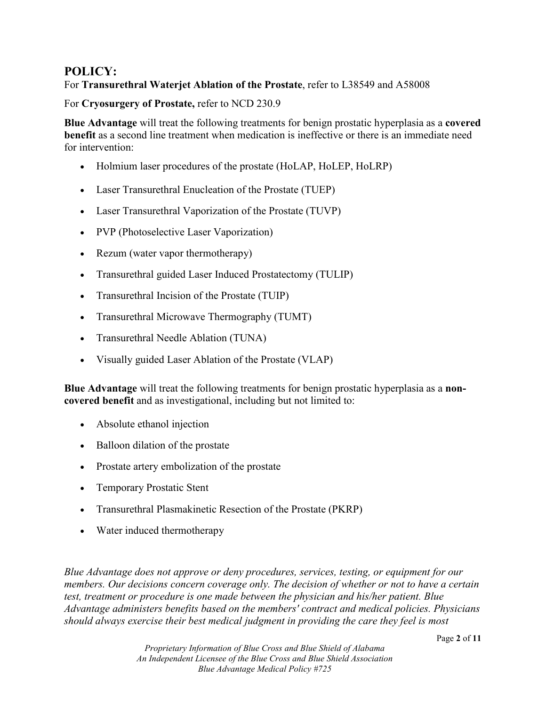## **POLICY:**

#### For **Transurethral Waterjet Ablation of the Prostate**, refer to L38549 and A58008

For **Cryosurgery of Prostate,** refer to NCD 230.9

**Blue Advantage** will treat the following treatments for benign prostatic hyperplasia as a **covered benefit** as a second line treatment when medication is ineffective or there is an immediate need for intervention:

- Holmium laser procedures of the prostate (HoLAP, HoLEP, HoLRP)
- Laser Transurethral Enucleation of the Prostate (TUEP)
- Laser Transurethral Vaporization of the Prostate (TUVP)
- PVP (Photoselective Laser Vaporization)
- Rezum (water vapor thermotherapy)
- Transurethral guided Laser Induced Prostatectomy (TULIP)
- Transurethral Incision of the Prostate (TUIP)
- Transurethral Microwave Thermography (TUMT)
- Transurethral Needle Ablation (TUNA)
- Visually guided Laser Ablation of the Prostate (VLAP)

**Blue Advantage** will treat the following treatments for benign prostatic hyperplasia as a **noncovered benefit** and as investigational, including but not limited to:

- Absolute ethanol injection
- Balloon dilation of the prostate
- Prostate artery embolization of the prostate
- Temporary Prostatic Stent
- Transurethral Plasmakinetic Resection of the Prostate (PKRP)
- Water induced thermotherapy

*Blue Advantage does not approve or deny procedures, services, testing, or equipment for our members. Our decisions concern coverage only. The decision of whether or not to have a certain test, treatment or procedure is one made between the physician and his/her patient. Blue Advantage administers benefits based on the members' contract and medical policies. Physicians should always exercise their best medical judgment in providing the care they feel is most*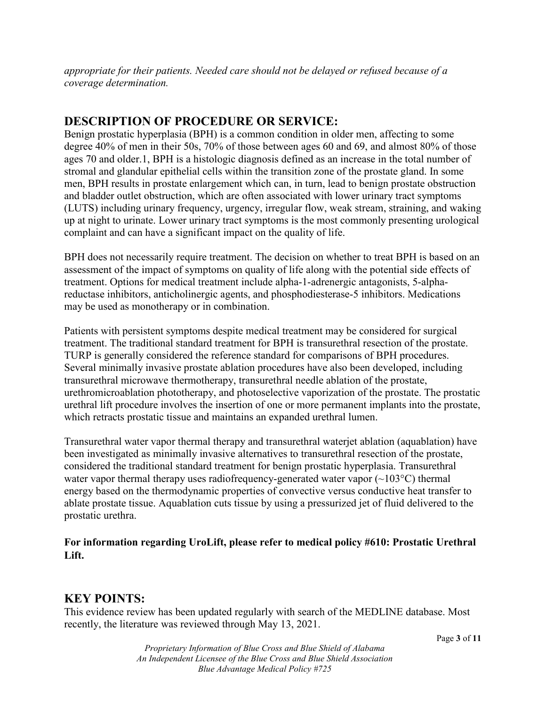*appropriate for their patients. Needed care should not be delayed or refused because of a coverage determination.*

## **DESCRIPTION OF PROCEDURE OR SERVICE:**

Benign prostatic hyperplasia (BPH) is a common condition in older men, affecting to some degree 40% of men in their 50s, 70% of those between ages 60 and 69, and almost 80% of those ages 70 and older.1, BPH is a histologic diagnosis defined as an increase in the total number of stromal and glandular epithelial cells within the transition zone of the prostate gland. In some men, BPH results in prostate enlargement which can, in turn, lead to benign prostate obstruction and bladder outlet obstruction, which are often associated with lower urinary tract symptoms (LUTS) including urinary frequency, urgency, irregular flow, weak stream, straining, and waking up at night to urinate. Lower urinary tract symptoms is the most commonly presenting urological complaint and can have a significant impact on the quality of life.

BPH does not necessarily require treatment. The decision on whether to treat BPH is based on an assessment of the impact of symptoms on quality of life along with the potential side effects of treatment. Options for medical treatment include alpha-1-adrenergic antagonists, 5-alphareductase inhibitors, anticholinergic agents, and phosphodiesterase-5 inhibitors. Medications may be used as monotherapy or in combination.

Patients with persistent symptoms despite medical treatment may be considered for surgical treatment. The traditional standard treatment for BPH is transurethral resection of the prostate. TURP is generally considered the reference standard for comparisons of BPH procedures. Several minimally invasive prostate ablation procedures have also been developed, including transurethral microwave thermotherapy, transurethral needle ablation of the prostate, urethromicroablation phototherapy, and photoselective vaporization of the prostate. The prostatic urethral lift procedure involves the insertion of one or more permanent implants into the prostate, which retracts prostatic tissue and maintains an expanded urethral lumen.

Transurethral water vapor thermal therapy and transurethral waterjet ablation (aquablation) have been investigated as minimally invasive alternatives to transurethral resection of the prostate, considered the traditional standard treatment for benign prostatic hyperplasia. Transurethral water vapor thermal therapy uses radiofrequency-generated water vapor  $(\sim 103^{\circ}C)$  thermal energy based on the thermodynamic properties of convective versus conductive heat transfer to ablate prostate tissue. Aquablation cuts tissue by using a pressurized jet of fluid delivered to the prostatic urethra.

#### **For information regarding UroLift, please refer to medical policy #610: Prostatic Urethral Lift.**

# **KEY POINTS:**

This evidence review has been updated regularly with search of the MEDLINE database. Most recently, the literature was reviewed through May 13, 2021.

*Proprietary Information of Blue Cross and Blue Shield of Alabama An Independent Licensee of the Blue Cross and Blue Shield Association Blue Advantage Medical Policy #725*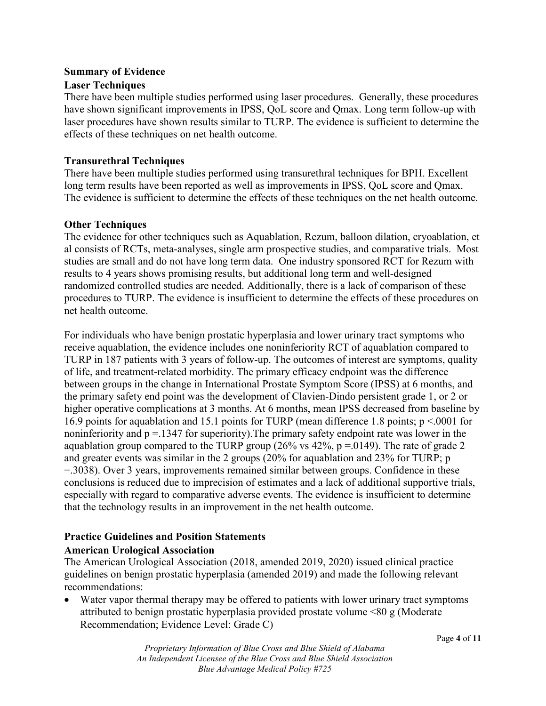#### **Summary of Evidence**

#### **Laser Techniques**

There have been multiple studies performed using laser procedures. Generally, these procedures have shown significant improvements in IPSS, QoL score and Qmax. Long term follow-up with laser procedures have shown results similar to TURP. The evidence is sufficient to determine the effects of these techniques on net health outcome.

#### **Transurethral Techniques**

There have been multiple studies performed using transurethral techniques for BPH. Excellent long term results have been reported as well as improvements in IPSS, QoL score and Qmax. The evidence is sufficient to determine the effects of these techniques on the net health outcome.

#### **Other Techniques**

The evidence for other techniques such as Aquablation, Rezum, balloon dilation, cryoablation, et al consists of RCTs, meta-analyses, single arm prospective studies, and comparative trials. Most studies are small and do not have long term data. One industry sponsored RCT for Rezum with results to 4 years shows promising results, but additional long term and well-designed randomized controlled studies are needed. Additionally, there is a lack of comparison of these procedures to TURP. The evidence is insufficient to determine the effects of these procedures on net health outcome.

For individuals who have benign prostatic hyperplasia and lower urinary tract symptoms who receive aquablation, the evidence includes one noninferiority RCT of aquablation compared to TURP in 187 patients with 3 years of follow-up. The outcomes of interest are symptoms, quality of life, and treatment-related morbidity. The primary efficacy endpoint was the difference between groups in the change in International Prostate Symptom Score (IPSS) at 6 months, and the primary safety end point was the development of Clavien-Dindo persistent grade 1, or 2 or higher operative complications at 3 months. At 6 months, mean IPSS decreased from baseline by 16.9 points for aquablation and 15.1 points for TURP (mean difference 1.8 points; p <.0001 for noninferiority and  $p = 1347$  for superiority). The primary safety endpoint rate was lower in the aquablation group compared to the TURP group (26% vs  $42\%$ , p = 0149). The rate of grade 2 and greater events was similar in the 2 groups (20% for aquablation and 23% for TURP; p =.3038). Over 3 years, improvements remained similar between groups. Confidence in these conclusions is reduced due to imprecision of estimates and a lack of additional supportive trials, especially with regard to comparative adverse events. The evidence is insufficient to determine that the technology results in an improvement in the net health outcome.

### **Practice Guidelines and Position Statements American Urological Association**

The American Urological Association (2018, amended 2019, 2020) issued clinical practice guidelines on benign prostatic hyperplasia (amended 2019) and made the following relevant recommendations:

Water vapor thermal therapy may be offered to patients with lower urinary tract symptoms attributed to benign prostatic hyperplasia provided prostate volume <80 g (Moderate Recommendation; Evidence Level: Grade C)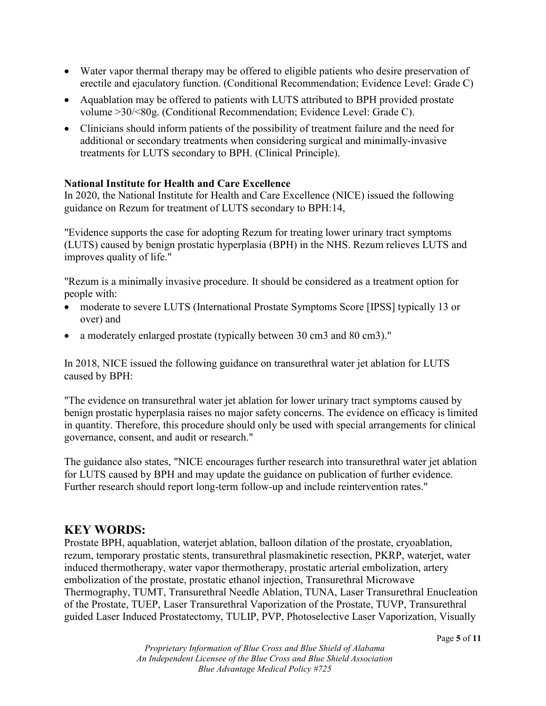- Water vapor thermal therapy may be offered to eligible patients who desire preservation of erectile and ejaculatory function. (Conditional Recommendation; Evidence Level: Grade C)
- Aquablation may be offered to patients with LUTS attributed to BPH provided prostate volume >30/<80g. (Conditional Recommendation; Evidence Level: Grade C).
- Clinicians should inform patients of the possibility of treatment failure and the need for additional or secondary treatments when considering surgical and minimally-invasive treatments for LUTS secondary to BPH. (Clinical Principle).

#### **National Institute for Health and Care Excellence**

In 2020, the National Institute for Health and Care Excellence (NICE) issued the following guidance on Rezum for treatment of LUTS secondary to BPH:14,

"Evidence supports the case for adopting Rezum for treating lower urinary tract symptoms (LUTS) caused by benign prostatic hyperplasia (BPH) in the NHS. Rezum relieves LUTS and improves quality of life."

"Rezum is a minimally invasive procedure. It should be considered as a treatment option for people with:

- moderate to severe LUTS (International Prostate Symptoms Score [IPSS] typically 13 or over) and
- a moderately enlarged prostate (typically between 30 cm3 and 80 cm3)."

In 2018, NICE issued the following guidance on transurethral water jet ablation for LUTS caused by BPH:

"The evidence on transurethral water jet ablation for lower urinary tract symptoms caused by benign prostatic hyperplasia raises no major safety concerns. The evidence on efficacy is limited in quantity. Therefore, this procedure should only be used with special arrangements for clinical governance, consent, and audit or research."

The guidance also states, "NICE encourages further research into transurethral water jet ablation for LUTS caused by BPH and may update the guidance on publication of further evidence. Further research should report long-term follow-up and include reintervention rates."

### **KEY WORDS:**

Prostate BPH, aquablation, waterjet ablation, balloon dilation of the prostate, cryoablation, rezum, temporary prostatic stents, transurethral plasmakinetic resection, PKRP, waterjet, water induced thermotherapy, water vapor thermotherapy, prostatic arterial embolization, artery embolization of the prostate, prostatic ethanol injection, Transurethral Microwave Thermography, TUMT, Transurethral Needle Ablation, TUNA, Laser Transurethral Enucleation of the Prostate, TUEP, Laser Transurethral Vaporization of the Prostate, TUVP, Transurethral guided Laser Induced Prostatectomy, TULIP, PVP, Photoselective Laser Vaporization, Visually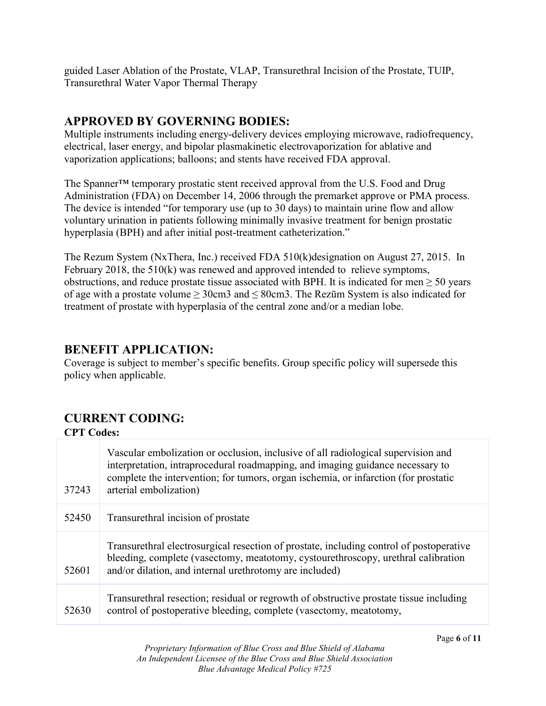guided Laser Ablation of the Prostate, VLAP, Transurethral Incision of the Prostate, TUIP, Transurethral Water Vapor Thermal Therapy

# **APPROVED BY GOVERNING BODIES:**

Multiple instruments including energy-delivery devices employing microwave, radiofrequency, electrical, laser energy, and bipolar plasmakinetic electrovaporization for ablative and vaporization applications; balloons; and stents have received FDA approval.

The Spanner™ temporary prostatic stent received approval from the U.S. Food and Drug Administration (FDA) on December 14, 2006 through the premarket approve or PMA process. The device is intended "for temporary use (up to 30 days) to maintain urine flow and allow voluntary urination in patients following minimally invasive treatment for benign prostatic hyperplasia (BPH) and after initial post-treatment catheterization."

The Rezum System (NxThera, Inc.) received FDA 510(k)designation on August 27, 2015. In February 2018, the 510(k) was renewed and approved intended to relieve symptoms, obstructions, and reduce prostate tissue associated with BPH. It is indicated for men  $\geq 50$  years of age with a prostate volume  $\geq 30 \text{cm}$  and  $\leq 80 \text{cm}$  3. The Rezūm System is also indicated for treatment of prostate with hyperplasia of the central zone and/or a median lobe.

# **BENEFIT APPLICATION:**

Coverage is subject to member's specific benefits. Group specific policy will supersede this policy when applicable.

# **CURRENT CODING:**

### **CPT Codes:**

| 37243 | Vascular embolization or occlusion, inclusive of all radiological supervision and<br>interpretation, intraprocedural roadmapping, and imaging guidance necessary to<br>complete the intervention; for tumors, organ ischemia, or infarction (for prostatic<br>arterial embolization) |
|-------|--------------------------------------------------------------------------------------------------------------------------------------------------------------------------------------------------------------------------------------------------------------------------------------|
| 52450 | Transurethral incision of prostate                                                                                                                                                                                                                                                   |
| 52601 | Transurethral electrosurgical resection of prostate, including control of postoperative<br>bleeding, complete (vasectomy, meatotomy, cystourethroscopy, urethral calibration<br>and/or dilation, and internal urethrotomy are included)                                              |
| 52630 | Transurethral resection; residual or regrowth of obstructive prostate tissue including<br>control of postoperative bleeding, complete (vasectomy, meatotomy,                                                                                                                         |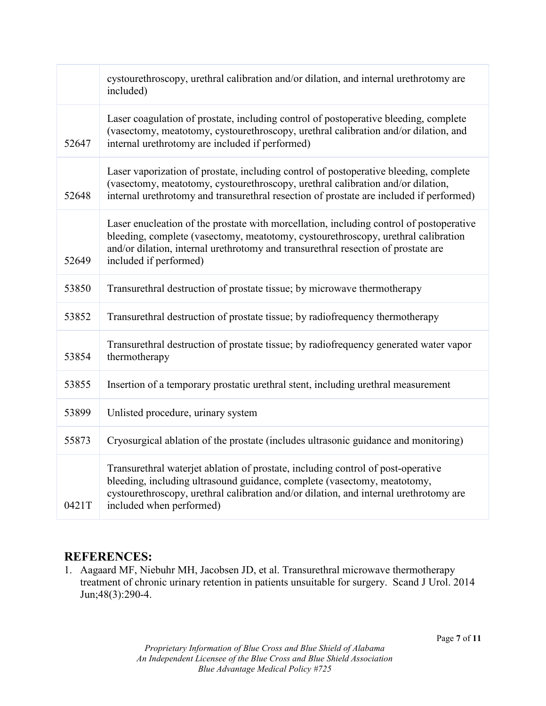|       | cystourethroscopy, urethral calibration and/or dilation, and internal urethrotomy are<br>included)                                                                                                                                                                                          |
|-------|---------------------------------------------------------------------------------------------------------------------------------------------------------------------------------------------------------------------------------------------------------------------------------------------|
| 52647 | Laser coagulation of prostate, including control of postoperative bleeding, complete<br>(vasectomy, meatotomy, cystourethroscopy, urethral calibration and/or dilation, and<br>internal urethrotomy are included if performed)                                                              |
| 52648 | Laser vaporization of prostate, including control of postoperative bleeding, complete<br>(vasectomy, meatotomy, cystourethroscopy, urethral calibration and/or dilation,<br>internal urethrotomy and transurethral resection of prostate are included if performed)                         |
| 52649 | Laser enucleation of the prostate with morcellation, including control of postoperative<br>bleeding, complete (vasectomy, meatotomy, cystourethroscopy, urethral calibration<br>and/or dilation, internal urethrotomy and transurethral resection of prostate are<br>included if performed) |
| 53850 | Transurethral destruction of prostate tissue; by microwave thermotherapy                                                                                                                                                                                                                    |
| 53852 | Transurethral destruction of prostate tissue; by radiofrequency thermotherapy                                                                                                                                                                                                               |
| 53854 | Transurethral destruction of prostate tissue; by radiofrequency generated water vapor<br>thermotherapy                                                                                                                                                                                      |
| 53855 | Insertion of a temporary prostatic urethral stent, including urethral measurement                                                                                                                                                                                                           |
| 53899 | Unlisted procedure, urinary system                                                                                                                                                                                                                                                          |
| 55873 | Cryosurgical ablation of the prostate (includes ultrasonic guidance and monitoring)                                                                                                                                                                                                         |
| 0421T | Transurethral waterjet ablation of prostate, including control of post-operative<br>bleeding, including ultrasound guidance, complete (vasectomy, meatotomy,<br>cystourethroscopy, urethral calibration and/or dilation, and internal urethrotomy are<br>included when performed)           |

### **REFERENCES:**

1. Aagaard MF, Niebuhr MH, Jacobsen JD, et al. Transurethral microwave thermotherapy treatment of chronic urinary retention in patients unsuitable for surgery. Scand J Urol. 2014 Jun;48(3):290-4.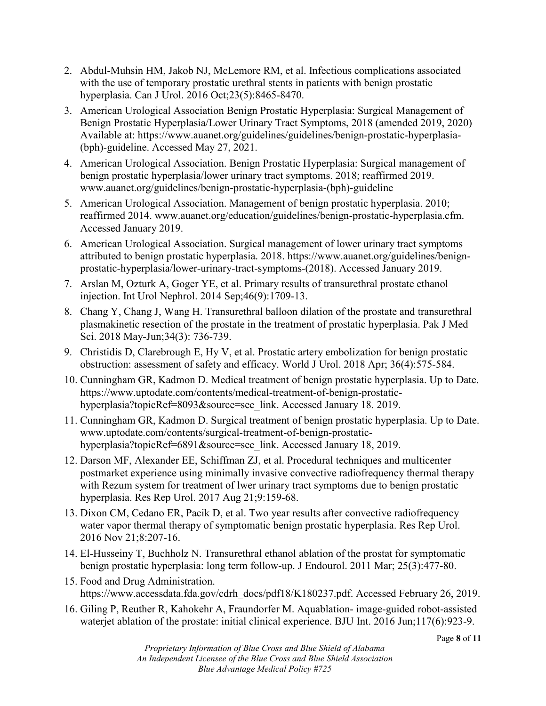- 2. Abdul-Muhsin HM, Jakob NJ, McLemore RM, et al. Infectious complications associated with the use of temporary prostatic urethral stents in patients with benign prostatic hyperplasia. Can J Urol. 2016 Oct;23(5):8465-8470.
- 3. American Urological Association Benign Prostatic Hyperplasia: Surgical Management of Benign Prostatic Hyperplasia/Lower Urinary Tract Symptoms, 2018 (amended 2019, 2020) Available at: https://www.auanet.org/guidelines/guidelines/benign-prostatic-hyperplasia- (bph)-guideline. Accessed May 27, 2021.
- 4. American Urological Association. Benign Prostatic Hyperplasia: Surgical management of benign prostatic hyperplasia/lower urinary tract symptoms. 2018; reaffirmed 2019. www.auanet.org/guidelines/benign-prostatic-hyperplasia-(bph)-guideline
- 5. American Urological Association. Management of benign prostatic hyperplasia. 2010; reaffirmed 2014. www.auanet.org/education/guidelines/benign-prostatic-hyperplasia.cfm. Accessed January 2019.
- 6. American Urological Association. Surgical management of lower urinary tract symptoms attributed to benign prostatic hyperplasia. 2018. https://www.auanet.org/guidelines/benignprostatic-hyperplasia/lower-urinary-tract-symptoms-(2018). Accessed January 2019.
- 7. Arslan M, Ozturk A, Goger YE, et al. Primary results of transurethral prostate ethanol injection. Int Urol Nephrol. 2014 Sep;46(9):1709-13.
- 8. Chang Y, Chang J, Wang H. Transurethral balloon dilation of the prostate and transurethral plasmakinetic resection of the prostate in the treatment of prostatic hyperplasia. Pak J Med Sci. 2018 May-Jun;34(3): 736-739.
- 9. Christidis D, Clarebrough E, Hy V, et al. Prostatic artery embolization for benign prostatic obstruction: assessment of safety and efficacy. World J Urol. 2018 Apr; 36(4):575-584.
- 10. Cunningham GR, Kadmon D. Medical treatment of benign prostatic hyperplasia. Up to Date. https://www.uptodate.com/contents/medical-treatment-of-benign-prostatichyperplasia?topicRef=8093&source=see\_link. Accessed January 18. 2019.
- 11. Cunningham GR, Kadmon D. Surgical treatment of benign prostatic hyperplasia. Up to Date. www.uptodate.com/contents/surgical-treatment-of-benign-prostatichyperplasia?topicRef=6891&source=see\_link. Accessed January 18, 2019.
- 12. Darson MF, Alexander EE, Schiffman ZJ, et al. Procedural techniques and multicenter postmarket experience using minimally invasive convective radiofrequency thermal therapy with Rezum system for treatment of lwer urinary tract symptoms due to benign prostatic hyperplasia. Res Rep Urol. 2017 Aug 21;9:159-68.
- 13. Dixon CM, Cedano ER, Pacik D, et al. Two year results after convective radiofrequency water vapor thermal therapy of symptomatic benign prostatic hyperplasia. Res Rep Urol. 2016 Nov 21;8:207-16.
- 14. El-Husseiny T, Buchholz N. Transurethral ethanol ablation of the prostat for symptomatic benign prostatic hyperplasia: long term follow-up. J Endourol. 2011 Mar; 25(3):477-80.
- 15. Food and Drug Administration. https://www.accessdata.fda.gov/cdrh\_docs/pdf18/K180237.pdf. Accessed February 26, 2019.
- 16. Giling P, Reuther R, Kahokehr A, Fraundorfer M. Aquablation- image-guided robot-assisted waterjet ablation of the prostate: initial clinical experience. BJU Int. 2016 Jun;117(6):923-9.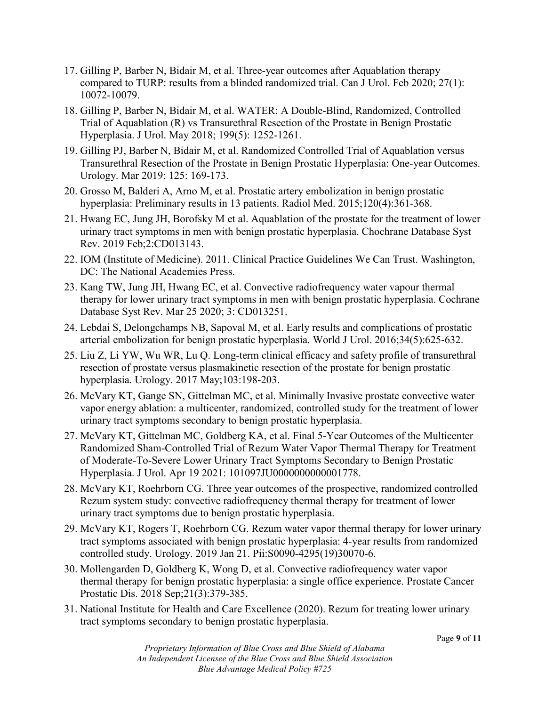- 17. Gilling P, Barber N, Bidair M, et al. Three-year outcomes after Aquablation therapy compared to TURP: results from a blinded randomized trial. Can J Urol. Feb 2020; 27(1): 10072-10079.
- 18. Gilling P, Barber N, Bidair M, et al. WATER: A Double-Blind, Randomized, Controlled Trial of Aquablation (R) vs Transurethral Resection of the Prostate in Benign Prostatic Hyperplasia. J Urol. May 2018; 199(5): 1252-1261.
- 19. Gilling PJ, Barber N, Bidair M, et al. Randomized Controlled Trial of Aquablation versus Transurethral Resection of the Prostate in Benign Prostatic Hyperplasia: One-year Outcomes. Urology. Mar 2019; 125: 169-173.
- 20. Grosso M, Balderi A, Arno M, et al. Prostatic artery embolization in benign prostatic hyperplasia: Preliminary results in 13 patients. Radiol Med. 2015;120(4):361-368.
- 21. Hwang EC, Jung JH, Borofsky M et al. Aquablation of the prostate for the treatment of lower urinary tract symptoms in men with benign prostatic hyperplasia. Chochrane Database Syst Rev. 2019 Feb;2:CD013143.
- 22. IOM (Institute of Medicine). 2011. Clinical Practice Guidelines We Can Trust. Washington, DC: The National Academies Press.
- 23. Kang TW, Jung JH, Hwang EC, et al. Convective radiofrequency water vapour thermal therapy for lower urinary tract symptoms in men with benign prostatic hyperplasia. Cochrane Database Syst Rev. Mar 25 2020; 3: CD013251.
- 24. Lebdai S, Delongchamps NB, Sapoval M, et al. Early results and complications of prostatic arterial embolization for benign prostatic hyperplasia. World J Urol. 2016;34(5):625-632.
- 25. Liu Z, Li YW, Wu WR, Lu Q. Long-term clinical efficacy and safety profile of transurethral resection of prostate versus plasmakinetic resection of the prostate for benign prostatic hyperplasia. Urology. 2017 May;103:198-203.
- 26. McVary KT, Gange SN, Gittelman MC, et al. Minimally Invasive prostate convective water vapor energy ablation: a multicenter, randomized, controlled study for the treatment of lower urinary tract symptoms secondary to benign prostatic hyperplasia.
- 27. McVary KT, Gittelman MC, Goldberg KA, et al. Final 5-Year Outcomes of the Multicenter Randomized Sham-Controlled Trial of Rezum Water Vapor Thermal Therapy for Treatment of Moderate-To-Severe Lower Urinary Tract Symptoms Secondary to Benign Prostatic Hyperplasia. J Urol. Apr 19 2021: 101097JU0000000000001778.
- 28. McVary KT, Roehrborn CG. Three year outcomes of the prospective, randomized controlled Rezum system study: convective radiofrequency thermal therapy for treatment of lower urinary tract symptoms due to benign prostatic hyperplasia.
- 29. McVary KT, Rogers T, Roehrborn CG. Rezum water vapor thermal therapy for lower urinary tract symptoms associated with benign prostatic hyperplasia: 4-year results from randomized controlled study. Urology. 2019 Jan 21. Pii:S0090-4295(19)30070-6.
- 30. Mollengarden D, Goldberg K, Wong D, et al. Convective radiofrequency water vapor thermal therapy for benign prostatic hyperplasia: a single office experience. Prostate Cancer Prostatic Dis. 2018 Sep;21(3):379-385.
- 31. National Institute for Health and Care Excellence (2020). Rezum for treating lower urinary tract symptoms secondary to benign prostatic hyperplasia.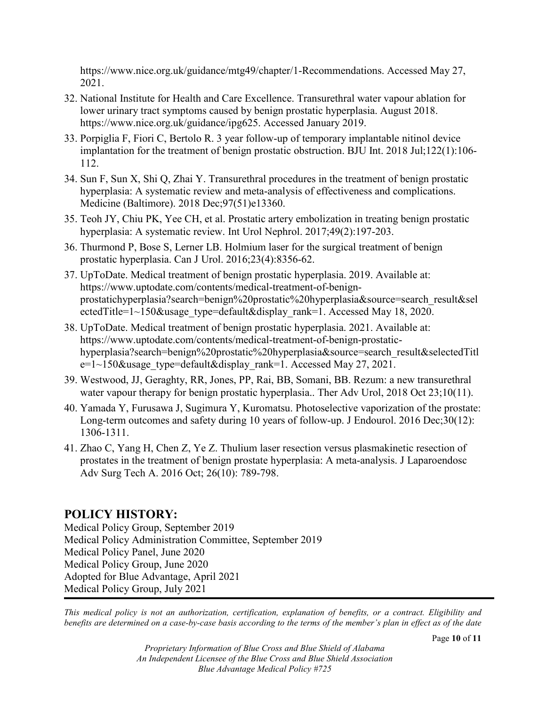https://www.nice.org.uk/guidance/mtg49/chapter/1-Recommendations. Accessed May 27, 2021.

- 32. National Institute for Health and Care Excellence. Transurethral water vapour ablation for lower urinary tract symptoms caused by benign prostatic hyperplasia. August 2018. https://www.nice.org.uk/guidance/ipg625. Accessed January 2019.
- 33. Porpiglia F, Fiori C, Bertolo R. 3 year follow-up of temporary implantable nitinol device implantation for the treatment of benign prostatic obstruction. BJU Int. 2018 Jul;122(1):106- 112.
- 34. Sun F, Sun X, Shi Q, Zhai Y. Transurethral procedures in the treatment of benign prostatic hyperplasia: A systematic review and meta-analysis of effectiveness and complications. Medicine (Baltimore). 2018 Dec;97(51)e13360.
- 35. Teoh JY, Chiu PK, Yee CH, et al. Prostatic artery embolization in treating benign prostatic hyperplasia: A systematic review. Int Urol Nephrol. 2017;49(2):197-203.
- 36. Thurmond P, Bose S, Lerner LB. Holmium laser for the surgical treatment of benign prostatic hyperplasia. Can J Urol. 2016;23(4):8356-62.
- 37. UpToDate. Medical treatment of benign prostatic hyperplasia. 2019. Available at: https://www.uptodate.com/contents/medical-treatment-of-benignprostatichyperplasia?search=benign%20prostatic%20hyperplasia&source=search\_result&sel ectedTitle=1~150&usage\_type=default&display\_rank=1. Accessed May 18, 2020.
- 38. UpToDate. Medical treatment of benign prostatic hyperplasia. 2021. Available at: https://www.uptodate.com/contents/medical-treatment-of-benign-prostatichyperplasia?search=benign%20prostatic%20hyperplasia&source=search\_result&selectedTitl  $e=1~150$ &usage type=default&display rank=1. Accessed May 27, 2021.
- 39. Westwood, JJ, Geraghty, RR, Jones, PP, Rai, BB, Somani, BB. Rezum: a new transurethral water vapour therapy for benign prostatic hyperplasia.. Ther Adv Urol, 2018 Oct 23;10(11).
- 40. Yamada Y, Furusawa J, Sugimura Y, Kuromatsu. Photoselective vaporization of the prostate: Long-term outcomes and safety during 10 years of follow-up. J Endourol. 2016 Dec;30(12): 1306-1311.
- 41. Zhao C, Yang H, Chen Z, Ye Z. Thulium laser resection versus plasmakinetic resection of prostates in the treatment of benign prostate hyperplasia: A meta-analysis. J Laparoendosc Adv Surg Tech A. 2016 Oct; 26(10): 789-798.

# **POLICY HISTORY:**

Medical Policy Group, September 2019 Medical Policy Administration Committee, September 2019 Medical Policy Panel, June 2020 Medical Policy Group, June 2020 Adopted for Blue Advantage, April 2021 Medical Policy Group, July 2021

*This medical policy is not an authorization, certification, explanation of benefits, or a contract. Eligibility and benefits are determined on a case-by-case basis according to the terms of the member's plan in effect as of the date*